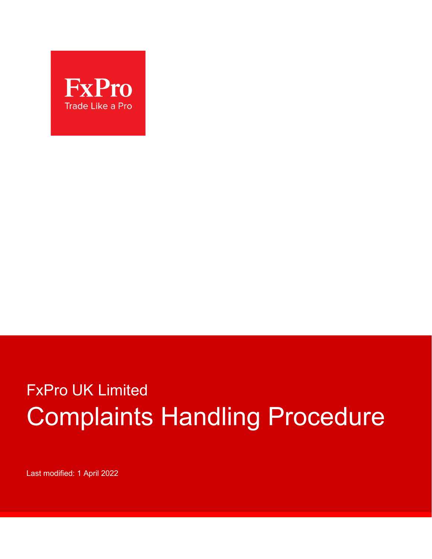

# FxPro UK Limited Complaints Handling Procedure

Last modified: 1 April 2022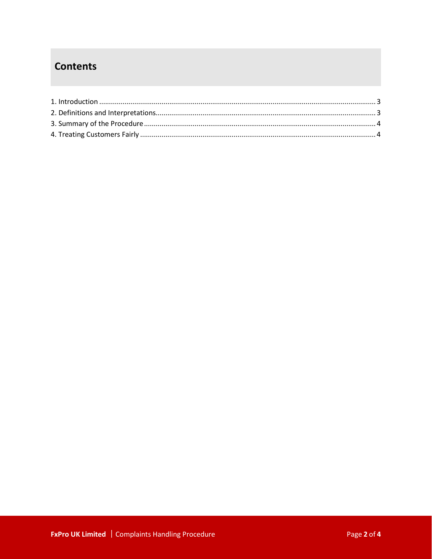## **Contents**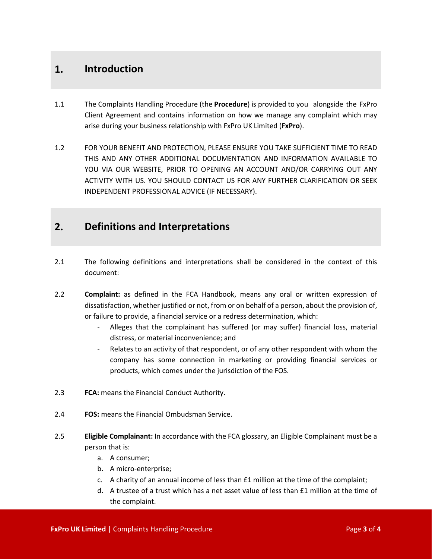#### **1. Introduction**

- 1.1 The Complaints Handling Procedure (the **Procedure**) is provided to you alongside the FxPro Client Agreement and contains information on how we manage any complaint which may arise during your business relationship with FxPro UK Limited (**FxPro**).
- 1.2 FOR YOUR BENEFIT AND PROTECTION, PLEASE ENSURE YOU TAKE SUFFICIENT TIME TO READ THIS AND ANY OTHER ADDITIONAL DOCUMENTATION AND INFORMATION AVAILABLE TO YOU VIA OUR WEBSITE, PRIOR TO OPENING AN ACCOUNT AND/OR CARRYING OUT ANY ACTIVITY WITH US. YOU SHOULD CONTACT US FOR ANY FURTHER CLARIFICATION OR SEEK INDEPENDENT PROFESSIONAL ADVICE (IF NECESSARY).

#### **2. Definitions and Interpretations**

- 2.1 The following definitions and interpretations shall be considered in the context of this document:
- 2.2 **Complaint:** as defined in the FCA Handbook, means any oral or written expression of dissatisfaction, whether justified or not, from or on behalf of a person, about the provision of, or failure to provide, a financial service or a redress determination, which:
	- Alleges that the complainant has suffered (or may suffer) financial loss, material distress, or material inconvenience; and
	- Relates to an activity of that respondent, or of any other respondent with whom the company has some connection in marketing or providing financial services or products, which comes under the jurisdiction of the FOS.
- 2.3 **FCA:** means the Financial Conduct Authority.
- 2.4 **FOS:** means the Financial Ombudsman Service.
- 2.5 **Eligible Complainant:** In accordance with the FCA glossary, an Eligible Complainant must be a person that is:
	- a. A consumer;
	- b. A micro-enterprise;
	- c. A charity of an annual income of less than £1 million at the time of the complaint;
	- d. A trustee of a trust which has a net asset value of less than £1 million at the time of the complaint.